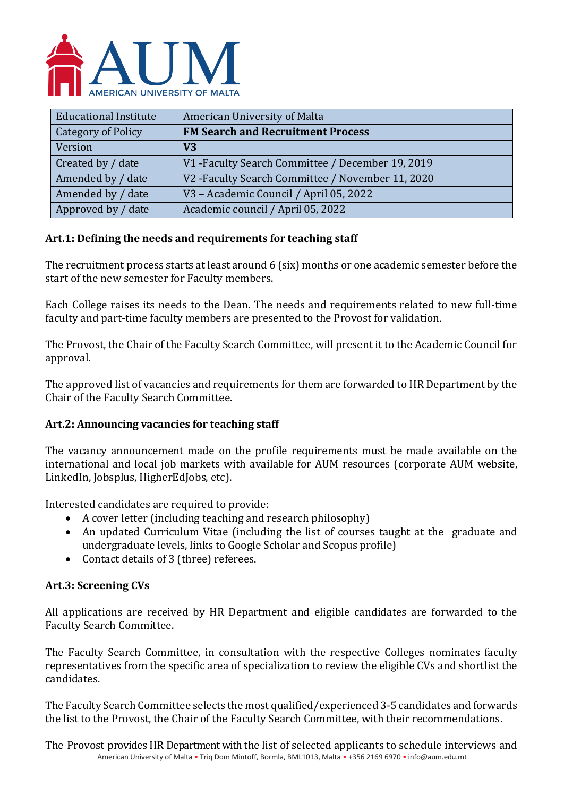

| <b>Educational Institute</b> | <b>American University of Malta</b>               |
|------------------------------|---------------------------------------------------|
| <b>Category of Policy</b>    | <b>FM Search and Recruitment Process</b>          |
| Version                      | V3                                                |
| Created by / date            | V1 - Faculty Search Committee / December 19, 2019 |
| Amended by / date            | V2 - Faculty Search Committee / November 11, 2020 |
| Amended by / date            | V3 - Academic Council / April 05, 2022            |
| Approved by / date           | Academic council / April 05, 2022                 |

## **Art.1: Defining the needs and requirements for teaching staff**

The recruitment process starts at least around 6 (six) months or one academic semester before the start of the new semester for Faculty members.

Each College raises its needs to the Dean. The needs and requirements related to new full-time faculty and part-time faculty members are presented to the Provost for validation.

The Provost, the Chair of the Faculty Search Committee, will present it to the Academic Council for approval.

The approved list of vacancies and requirements for them are forwarded to HR Department by the Chair of the Faculty Search Committee.

## **Art.2: Announcing vacancies for teaching staff**

The vacancy announcement made on the profile requirements must be made available on the international and local job markets with available for AUM resources (corporate AUM website, LinkedIn, Jobsplus, HigherEdJobs, etc).

Interested candidates are required to provide:

- A cover letter (including teaching and research philosophy)
- An updated Curriculum Vitae (including the list of courses taught at the graduate and undergraduate levels, links to Google Scholar and Scopus profile)
- Contact details of 3 (three) referees.

## **Art.3: Screening CVs**

All applications are received by HR Department and eligible candidates are forwarded to the Faculty Search Committee.

The Faculty Search Committee, in consultation with the respective Colleges nominates faculty representatives from the specific area of specialization to review the eligible CVs and shortlist the candidates.

The Faculty Search Committee selects the most qualified/experienced 3-5 candidates and forwards the list to the Provost, the Chair of the Faculty Search Committee, with their recommendations.